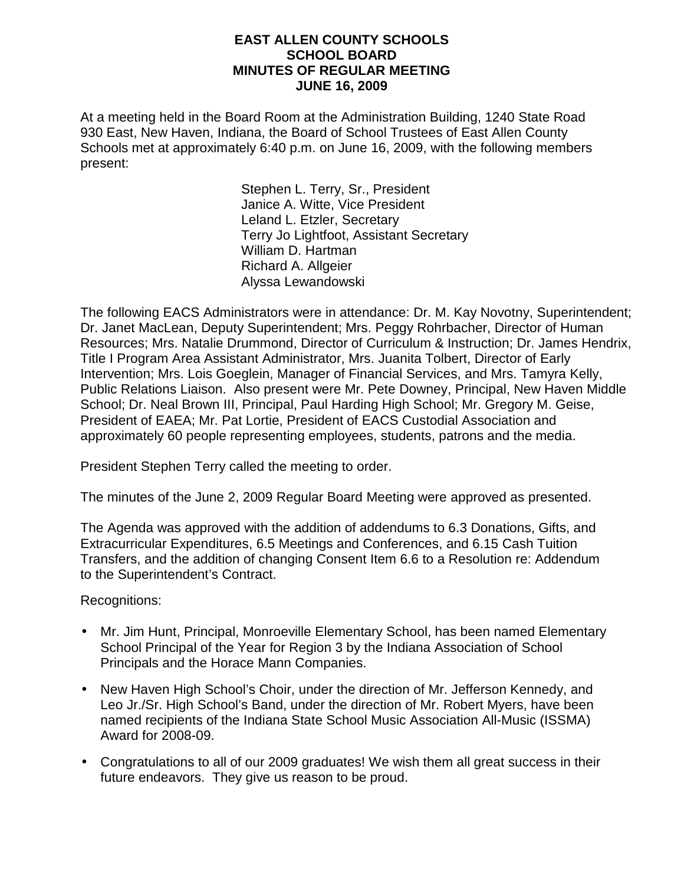#### **EAST ALLEN COUNTY SCHOOLS SCHOOL BOARD MINUTES OF REGULAR MEETING JUNE 16, 2009**

At a meeting held in the Board Room at the Administration Building, 1240 State Road 930 East, New Haven, Indiana, the Board of School Trustees of East Allen County Schools met at approximately 6:40 p.m. on June 16, 2009, with the following members present:

> Stephen L. Terry, Sr., President Janice A. Witte, Vice President Leland L. Etzler, Secretary Terry Jo Lightfoot, Assistant Secretary William D. Hartman Richard A. Allgeier Alyssa Lewandowski

The following EACS Administrators were in attendance: Dr. M. Kay Novotny, Superintendent; Dr. Janet MacLean, Deputy Superintendent; Mrs. Peggy Rohrbacher, Director of Human Resources; Mrs. Natalie Drummond, Director of Curriculum & Instruction; Dr. James Hendrix, Title I Program Area Assistant Administrator, Mrs. Juanita Tolbert, Director of Early Intervention; Mrs. Lois Goeglein, Manager of Financial Services, and Mrs. Tamyra Kelly, Public Relations Liaison. Also present were Mr. Pete Downey, Principal, New Haven Middle School; Dr. Neal Brown III, Principal, Paul Harding High School; Mr. Gregory M. Geise, President of EAEA; Mr. Pat Lortie, President of EACS Custodial Association and approximately 60 people representing employees, students, patrons and the media.

President Stephen Terry called the meeting to order.

The minutes of the June 2, 2009 Regular Board Meeting were approved as presented.

The Agenda was approved with the addition of addendums to 6.3 Donations, Gifts, and Extracurricular Expenditures, 6.5 Meetings and Conferences, and 6.15 Cash Tuition Transfers, and the addition of changing Consent Item 6.6 to a Resolution re: Addendum to the Superintendent's Contract.

Recognitions:

- Mr. Jim Hunt, Principal, Monroeville Elementary School, has been named Elementary School Principal of the Year for Region 3 by the Indiana Association of School Principals and the Horace Mann Companies.
- New Haven High School's Choir, under the direction of Mr. Jefferson Kennedy, and Leo Jr./Sr. High School's Band, under the direction of Mr. Robert Myers, have been named recipients of the Indiana State School Music Association All-Music (ISSMA) Award for 2008-09.
- Congratulations to all of our 2009 graduates! We wish them all great success in their future endeavors. They give us reason to be proud.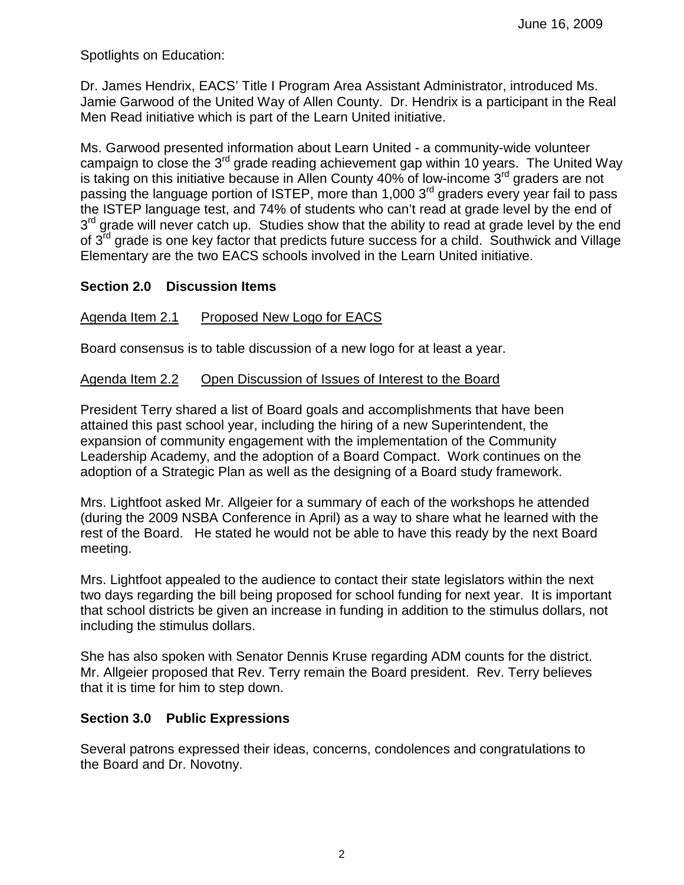Spotlights on Education:

Dr. James Hendrix, EACS' Title I Program Area Assistant Administrator, introduced Ms. Jamie Garwood of the United Way of Allen County. Dr. Hendrix is a participant in the Real Men Read initiative which is part of the Learn United initiative.

Ms. Garwood presented information about Learn United - a community-wide volunteer campaign to close the  $3<sup>rd</sup>$  grade reading achievement gap within 10 years. The United Way is taking on this initiative because in Allen County 40% of low-income  $3<sup>rd</sup>$  graders are not passing the language portion of ISTEP, more than 1,000 3<sup>rd</sup> graders every year fail to pass the ISTEP language test, and 74% of students who can't read at grade level by the end of 3<sup>rd</sup> grade will never catch up. Studies show that the ability to read at grade level by the end of 3<sup>rd</sup> grade is one key factor that predicts future success for a child. Southwick and Village Elementary are the two EACS schools involved in the Learn United initiative.

# **Section 2.0 Discussion Items**

# Agenda Item 2.1 Proposed New Logo for EACS

Board consensus is to table discussion of a new logo for at least a year.

#### Agenda Item 2.2 Open Discussion of Issues of Interest to the Board

President Terry shared a list of Board goals and accomplishments that have been attained this past school year, including the hiring of a new Superintendent, the expansion of community engagement with the implementation of the Community Leadership Academy, and the adoption of a Board Compact. Work continues on the adoption of a Strategic Plan as well as the designing of a Board study framework.

Mrs. Lightfoot asked Mr. Allgeier for a summary of each of the workshops he attended (during the 2009 NSBA Conference in April) as a way to share what he learned with the rest of the Board. He stated he would not be able to have this ready by the next Board meeting.

Mrs. Lightfoot appealed to the audience to contact their state legislators within the next two days regarding the bill being proposed for school funding for next year. It is important that school districts be given an increase in funding in addition to the stimulus dollars, not including the stimulus dollars.

She has also spoken with Senator Dennis Kruse regarding ADM counts for the district. Mr. Allgeier proposed that Rev. Terry remain the Board president. Rev. Terry believes that it is time for him to step down.

# **Section 3.0 Public Expressions**

Several patrons expressed their ideas, concerns, condolences and congratulations to the Board and Dr. Novotny.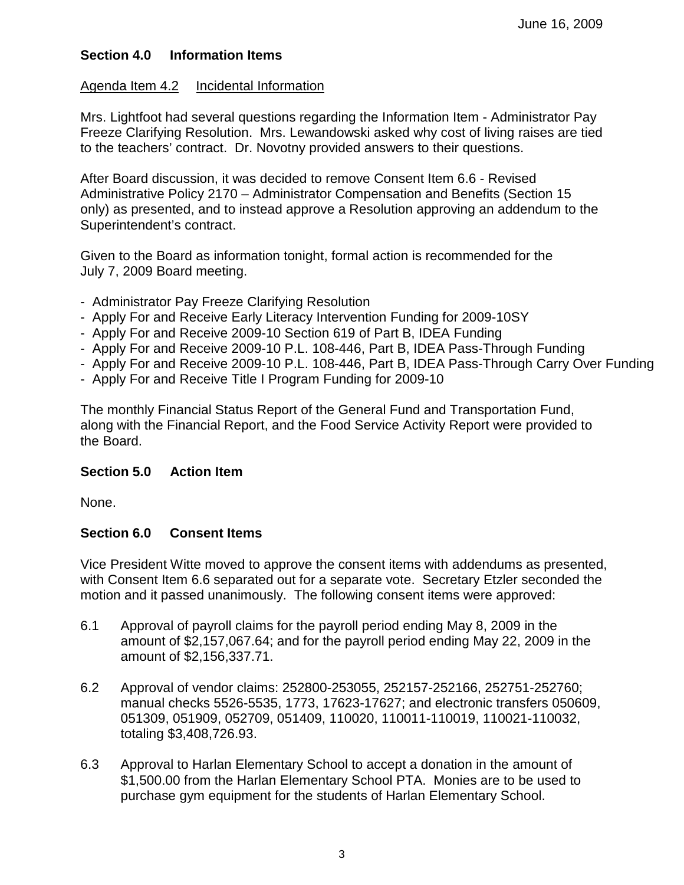# **Section 4.0 Information Items**

#### Agenda Item 4.2 Incidental Information

Mrs. Lightfoot had several questions regarding the Information Item - Administrator Pay Freeze Clarifying Resolution. Mrs. Lewandowski asked why cost of living raises are tied to the teachers' contract. Dr. Novotny provided answers to their questions.

After Board discussion, it was decided to remove Consent Item 6.6 - Revised Administrative Policy 2170 – Administrator Compensation and Benefits (Section 15 only) as presented, and to instead approve a Resolution approving an addendum to the Superintendent's contract.

Given to the Board as information tonight, formal action is recommended for the July 7, 2009 Board meeting.

- Administrator Pay Freeze Clarifying Resolution
- Apply For and Receive Early Literacy Intervention Funding for 2009-10SY
- Apply For and Receive 2009-10 Section 619 of Part B, IDEA Funding
- Apply For and Receive 2009-10 P.L. 108-446, Part B, IDEA Pass-Through Funding
- Apply For and Receive 2009-10 P.L. 108-446, Part B, IDEA Pass-Through Carry Over Funding
- Apply For and Receive Title I Program Funding for 2009-10

The monthly Financial Status Report of the General Fund and Transportation Fund, along with the Financial Report, and the Food Service Activity Report were provided to the Board.

# **Section 5.0 Action Item**

None.

# **Section 6.0 Consent Items**

Vice President Witte moved to approve the consent items with addendums as presented, with Consent Item 6.6 separated out for a separate vote. Secretary Etzler seconded the motion and it passed unanimously. The following consent items were approved:

- 6.1 Approval of payroll claims for the payroll period ending May 8, 2009 in the amount of \$2,157,067.64; and for the payroll period ending May 22, 2009 in the amount of \$2,156,337.71.
- 6.2 Approval of vendor claims: 252800-253055, 252157-252166, 252751-252760; manual checks 5526-5535, 1773, 17623-17627; and electronic transfers 050609, 051309, 051909, 052709, 051409, 110020, 110011-110019, 110021-110032, totaling \$3,408,726.93.
- 6.3 Approval to Harlan Elementary School to accept a donation in the amount of \$1,500.00 from the Harlan Elementary School PTA. Monies are to be used to purchase gym equipment for the students of Harlan Elementary School.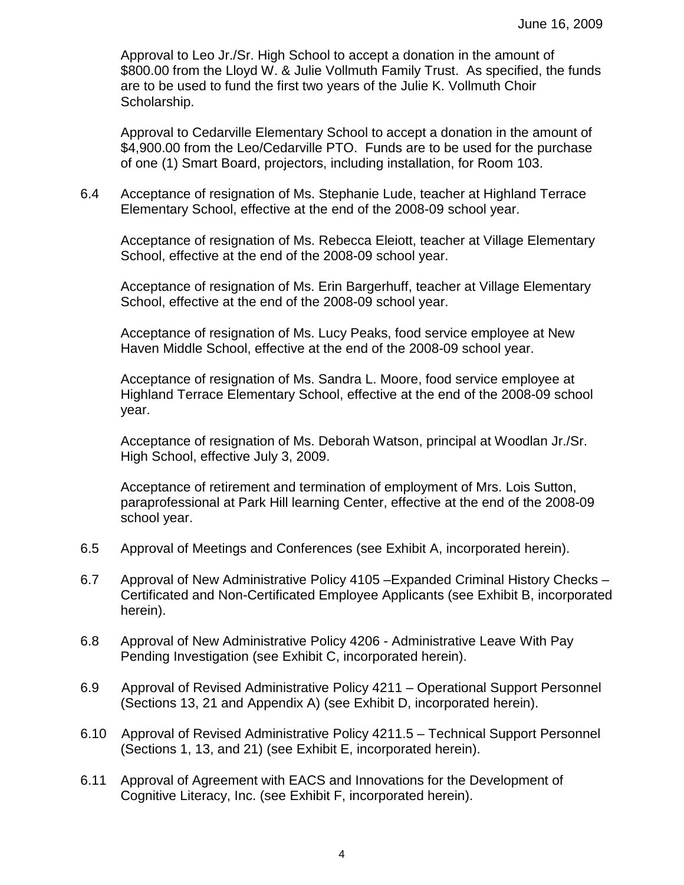Approval to Leo Jr./Sr. High School to accept a donation in the amount of \$800.00 from the Lloyd W. & Julie Vollmuth Family Trust. As specified, the funds are to be used to fund the first two years of the Julie K. Vollmuth Choir Scholarship.

Approval to Cedarville Elementary School to accept a donation in the amount of \$4,900.00 from the Leo/Cedarville PTO. Funds are to be used for the purchase of one (1) Smart Board, projectors, including installation, for Room 103.

6.4 Acceptance of resignation of Ms. Stephanie Lude, teacher at Highland Terrace Elementary School, effective at the end of the 2008-09 school year.

Acceptance of resignation of Ms. Rebecca Eleiott, teacher at Village Elementary School, effective at the end of the 2008-09 school year.

Acceptance of resignation of Ms. Erin Bargerhuff, teacher at Village Elementary School, effective at the end of the 2008-09 school year.

Acceptance of resignation of Ms. Lucy Peaks, food service employee at New Haven Middle School, effective at the end of the 2008-09 school year.

Acceptance of resignation of Ms. Sandra L. Moore, food service employee at Highland Terrace Elementary School, effective at the end of the 2008-09 school year.

Acceptance of resignation of Ms. Deborah Watson, principal at Woodlan Jr./Sr. High School, effective July 3, 2009.

Acceptance of retirement and termination of employment of Mrs. Lois Sutton, paraprofessional at Park Hill learning Center, effective at the end of the 2008-09 school year.

- 6.5 Approval of Meetings and Conferences (see Exhibit A, incorporated herein).
- 6.7 Approval of New Administrative Policy 4105 –Expanded Criminal History Checks Certificated and Non-Certificated Employee Applicants (see Exhibit B, incorporated herein).
- 6.8 Approval of New Administrative Policy 4206 Administrative Leave With Pay Pending Investigation (see Exhibit C, incorporated herein).
- 6.9 Approval of Revised Administrative Policy 4211 Operational Support Personnel (Sections 13, 21 and Appendix A) (see Exhibit D, incorporated herein).
- 6.10 Approval of Revised Administrative Policy 4211.5 Technical Support Personnel (Sections 1, 13, and 21) (see Exhibit E, incorporated herein).
- 6.11 Approval of Agreement with EACS and Innovations for the Development of Cognitive Literacy, Inc. (see Exhibit F, incorporated herein).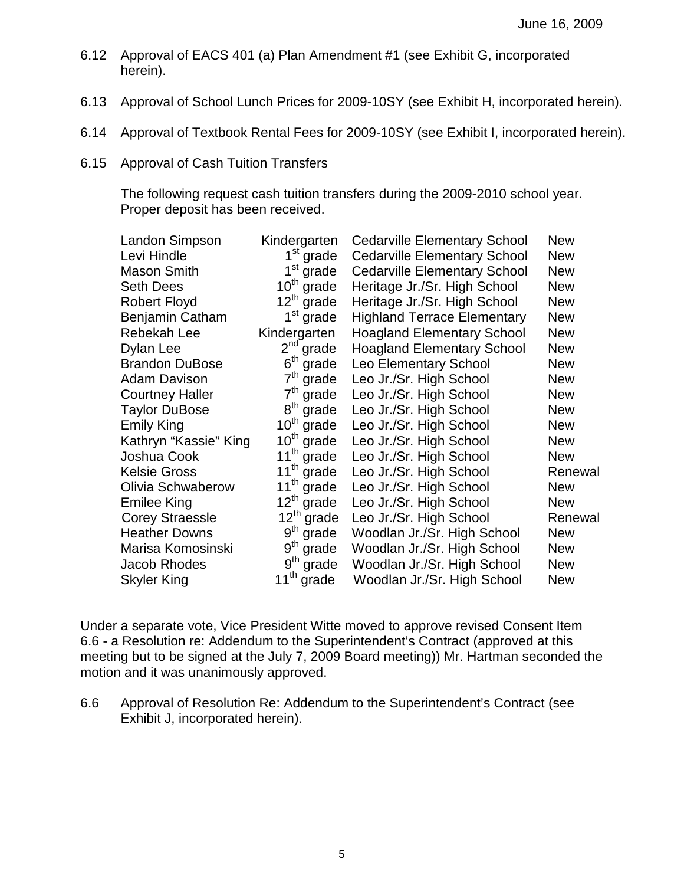- 6.12 Approval of EACS 401 (a) Plan Amendment #1 (see Exhibit G, incorporated herein).
- 6.13 Approval of School Lunch Prices for 2009-10SY (see Exhibit H, incorporated herein).
- 6.14 Approval of Textbook Rental Fees for 2009-10SY (see Exhibit I, incorporated herein).
- 6.15 Approval of Cash Tuition Transfers

The following request cash tuition transfers during the 2009-2010 school year. Proper deposit has been received.

| Landon Simpson           | Kindergarten              | <b>Cedarville Elementary School</b> | <b>New</b> |
|--------------------------|---------------------------|-------------------------------------|------------|
| Levi Hindle              | $1st$ grade               | <b>Cedarville Elementary School</b> | <b>New</b> |
| <b>Mason Smith</b>       | $1^{\rm st}$<br>grade     | <b>Cedarville Elementary School</b> | <b>New</b> |
| <b>Seth Dees</b>         | $10^{th}$ grade           | Heritage Jr./Sr. High School        | <b>New</b> |
| <b>Robert Floyd</b>      | $12^{th}$ grade           | Heritage Jr./Sr. High School        | <b>New</b> |
| Benjamin Catham          | 1 <sup>st</sup> grade     | <b>Highland Terrace Elementary</b>  | <b>New</b> |
| Rebekah Lee              | Kindergarten              | <b>Hoagland Elementary School</b>   | <b>New</b> |
| Dylan Lee                | $2nd$ grade               | <b>Hoagland Elementary School</b>   | <b>New</b> |
| <b>Brandon DuBose</b>    | 6 <sup>th</sup><br>grade  | Leo Elementary School               | <b>New</b> |
| <b>Adam Davison</b>      | 7 <sup>th</sup><br>grade  | Leo Jr./Sr. High School             | <b>New</b> |
| <b>Courtney Haller</b>   | 7 <sup>th</sup><br>grade  | Leo Jr./Sr. High School             | <b>New</b> |
| <b>Taylor DuBose</b>     | $8^{\text{th}}$<br>grade  | Leo Jr./Sr. High School             | <b>New</b> |
| <b>Emily King</b>        | $10^{\text{th}}$<br>grade | Leo Jr./Sr. High School             | <b>New</b> |
| Kathryn "Kassie" King    | $10^{\text{th}}$<br>grade | Leo Jr./Sr. High School             | <b>New</b> |
| Joshua Cook              | $11^{\text{th}}$<br>grade | Leo Jr./Sr. High School             | <b>New</b> |
| <b>Kelsie Gross</b>      | $11^{th}$<br>grade        | Leo Jr./Sr. High School             | Renewal    |
| <b>Olivia Schwaberow</b> | $11^{th}$<br>grade        | Leo Jr./Sr. High School             | <b>New</b> |
| <b>Emilee King</b>       | $12^{\text{th}}$<br>grade | Leo Jr./Sr. High School             | <b>New</b> |
| <b>Corey Straessle</b>   | $12^{th}$ grade           | Leo Jr./Sr. High School             | Renewal    |
| <b>Heather Downs</b>     | 9 <sup>th</sup><br>grade  | Woodlan Jr./Sr. High School         | <b>New</b> |
| Marisa Komosinski        | 9 <sup>th</sup><br>grade  | Woodlan Jr./Sr. High School         | <b>New</b> |
| Jacob Rhodes             | $9th$ grade               | Woodlan Jr./Sr. High School         | <b>New</b> |
| <b>Skyler King</b>       | $11^{th}$ grade           | Woodlan Jr./Sr. High School         | <b>New</b> |
|                          |                           |                                     |            |

Under a separate vote, Vice President Witte moved to approve revised Consent Item 6.6 - a Resolution re: Addendum to the Superintendent's Contract (approved at this meeting but to be signed at the July 7, 2009 Board meeting)) Mr. Hartman seconded the motion and it was unanimously approved.

6.6 Approval of Resolution Re: Addendum to the Superintendent's Contract (see Exhibit J, incorporated herein).